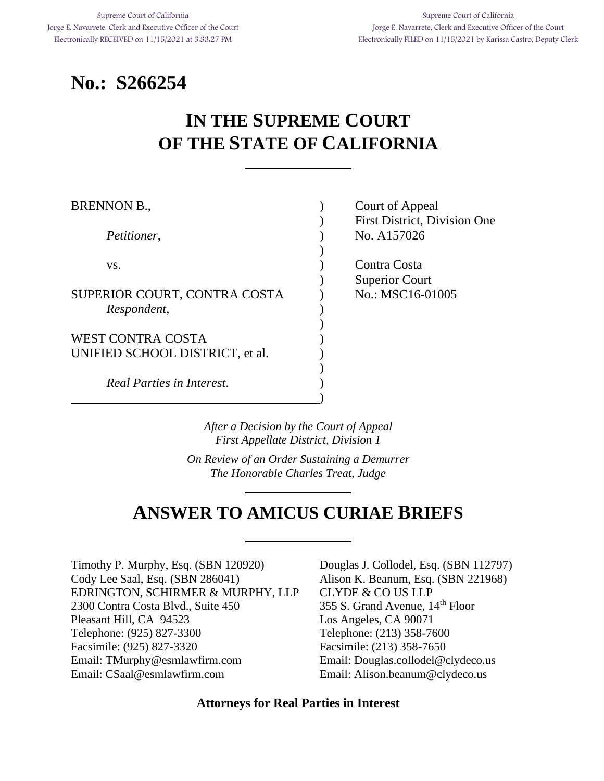# **No.: S266254**

# **IN THE SUPREME COURT OF THE STATE OF CALIFORNIA**

| <b>BRENNON B.,</b>              | Court of Appeal                     |
|---------------------------------|-------------------------------------|
|                                 | <b>First District, Division One</b> |
| Petitioner,                     | No. A157026                         |
|                                 |                                     |
| VS.                             | Contra Costa                        |
|                                 | <b>Superior Court</b>               |
| SUPERIOR COURT, CONTRA COSTA    | No.: MSC16-01005                    |
| Respondent,                     |                                     |
|                                 |                                     |
| <b>WEST CONTRA COSTA</b>        |                                     |
| UNIFIED SCHOOL DISTRICT, et al. |                                     |
|                                 |                                     |
| Real Parties in Interest.       |                                     |
|                                 |                                     |

*After a Decision by the Court of Appeal First Appellate District, Division 1*

*On Review of an Order Sustaining a Demurrer The Honorable Charles Treat, Judge*

# **ANSWER TO AMICUS CURIAE BRIEFS**

Timothy P. Murphy, Esq. (SBN 120920) Douglas J. Collodel, Esq. (SBN 112797) Cody Lee Saal, Esq. (SBN 286041) Alison K. Beanum, Esq. (SBN 221968) EDRINGTON, SCHIRMER & MURPHY, LLP CLYDE & CO US LLP 2300 Contra Costa Blvd., Suite 450 355 S. Grand Avenue, 14<sup>th</sup> Floor Pleasant Hill, CA 94523 Los Angeles, CA 90071 Telephone: (925) 827-3300 Telephone: (213) 358-7600 Facsimile: (925) 827-3320 Facsimile: (213) 358-7650 Email: [TMurphy@esmlawfirm.com](mailto:TMurphy@esmlawfirm.com) Email: Douglas.collodel@clydeco.us Email: CSaal@esmlawfirm.com Email: Alison.beanum@clydeco.us

**Attorneys for Real Parties in Interest**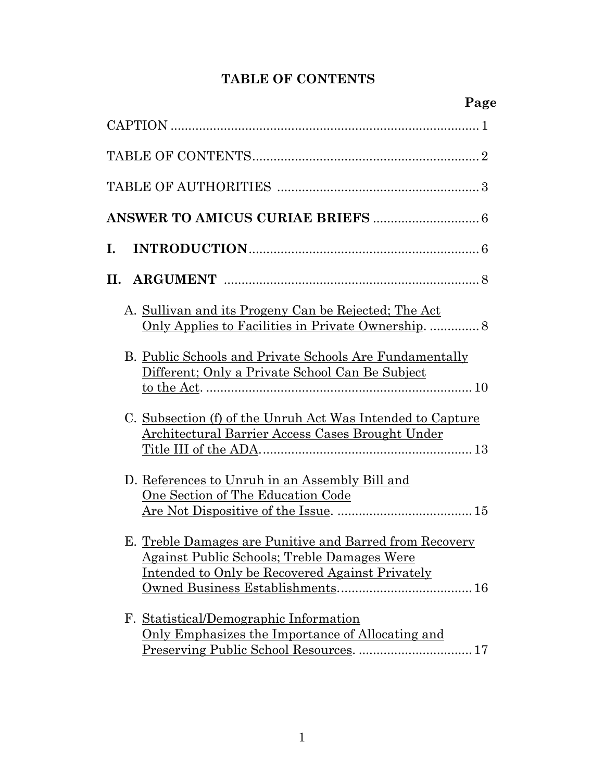# **TABLE OF CONTENTS**

|                                                                                                                                                                         | Page |
|-------------------------------------------------------------------------------------------------------------------------------------------------------------------------|------|
|                                                                                                                                                                         |      |
|                                                                                                                                                                         |      |
|                                                                                                                                                                         |      |
|                                                                                                                                                                         |      |
| Ι.                                                                                                                                                                      |      |
| П.                                                                                                                                                                      |      |
| A. Sullivan and its Progeny Can be Rejected; The Act                                                                                                                    |      |
| B. Public Schools and Private Schools Are Fundamentally<br>Different; Only a Private School Can Be Subject                                                              |      |
| C. Subsection (f) of the Unruh Act Was Intended to Capture<br>Architectural Barrier Access Cases Brought Under                                                          |      |
| D. References to Unruh in an Assembly Bill and<br>One Section of The Education Code                                                                                     |      |
| E. Treble Damages are Punitive and Barred from Recovery<br><u>Against Public Schools; Treble Damages Were</u><br><u>Intended to Only be Recovered Against Privately</u> |      |
| F. Statistical/Demographic Information<br><u>Only Emphasizes the Importance of Allocating and</u><br>Preserving Public School Resources.  17                            |      |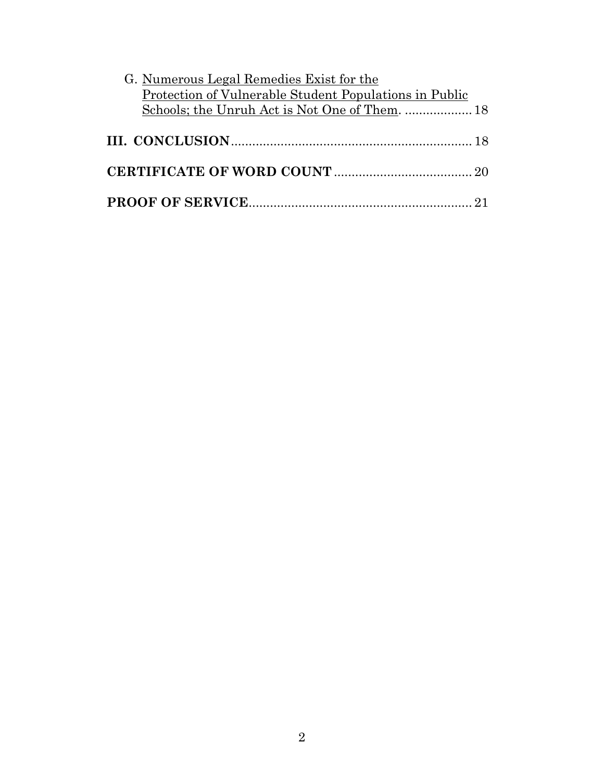| G. Numerous Legal Remedies Exist for the               |  |
|--------------------------------------------------------|--|
| Protection of Vulnerable Student Populations in Public |  |
| Schools; the Unruh Act is Not One of Them.  18         |  |
|                                                        |  |
|                                                        |  |
|                                                        |  |
|                                                        |  |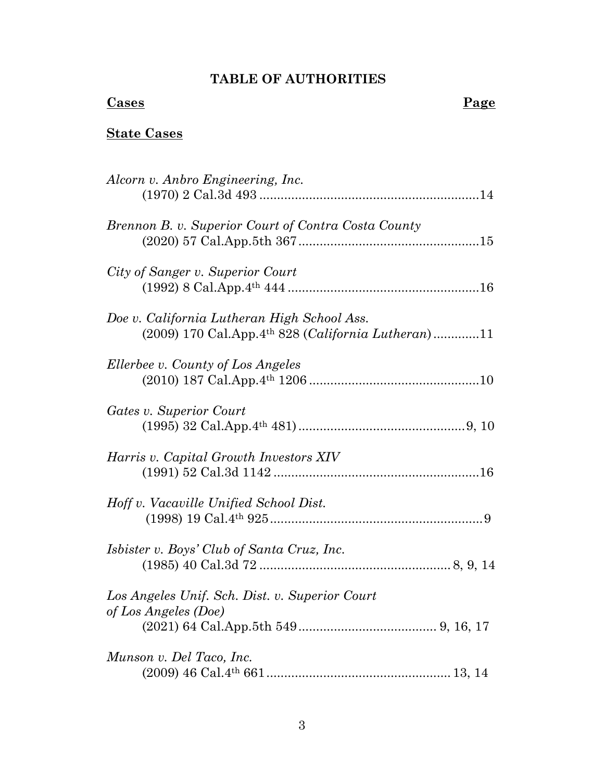# **TABLE OF AUTHORITIES**

# **Cases** Page

# **State Cases**

| Alcorn v. Anbro Engineering, Inc.                                                                                        |
|--------------------------------------------------------------------------------------------------------------------------|
| Brennon B. v. Superior Court of Contra Costa County                                                                      |
| City of Sanger v. Superior Court                                                                                         |
| Doe v. California Lutheran High School Ass.<br>$(2009)$ 170 Cal.App.4 <sup>th</sup> 828 ( <i>California Lutheran</i> )11 |
| Ellerbee v. County of Los Angeles                                                                                        |
| Gates v. Superior Court                                                                                                  |
| Harris v. Capital Growth Investors XIV                                                                                   |
| Hoff v. Vacaville Unified School Dist.                                                                                   |
| <i>Isbister v. Boys' Club of Santa Cruz, Inc.</i>                                                                        |
| Los Angeles Unif. Sch. Dist. v. Superior Court<br>of Los Angeles (Doe)                                                   |
|                                                                                                                          |
| Munson v. Del Taco, Inc.                                                                                                 |
|                                                                                                                          |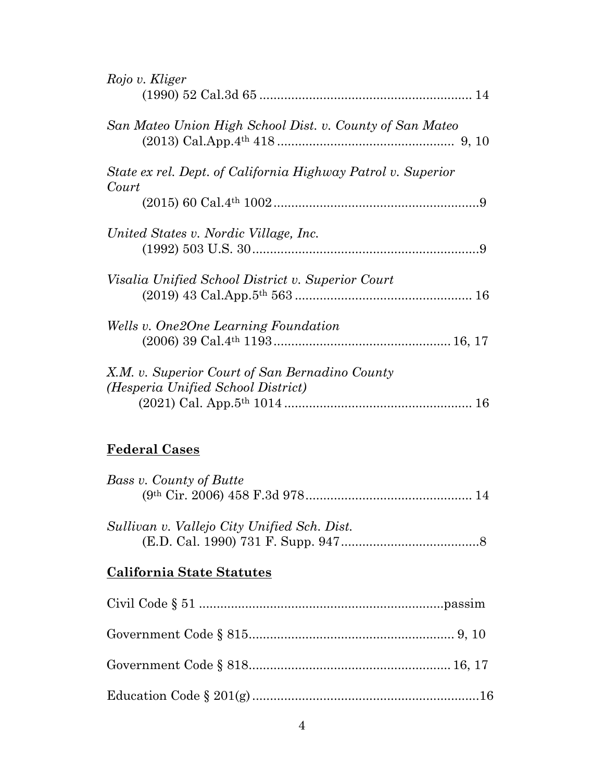| Rojo v. Kliger                                                        |
|-----------------------------------------------------------------------|
|                                                                       |
| San Mateo Union High School Dist. v. County of San Mateo              |
|                                                                       |
| State ex rel. Dept. of California Highway Patrol v. Superior<br>Court |
|                                                                       |
| United States v. Nordic Village, Inc.                                 |
|                                                                       |
| Visalia Unified School District v. Superior Court                     |
|                                                                       |
| Wells v. One2One Learning Foundation                                  |
|                                                                       |
| X.M. v. Superior Court of San Bernadino County                        |
| (Hesperia Unified School District)                                    |
|                                                                       |
| <b>Federal Cases</b>                                                  |
|                                                                       |
| Bass v. County of Butte                                               |
|                                                                       |
| Sullivan v. Vallejo City Unified Sch. Dist.                           |

(E.D. Cal. 1990) 731 F. Supp. 947.......................................8

# **California State Statutes**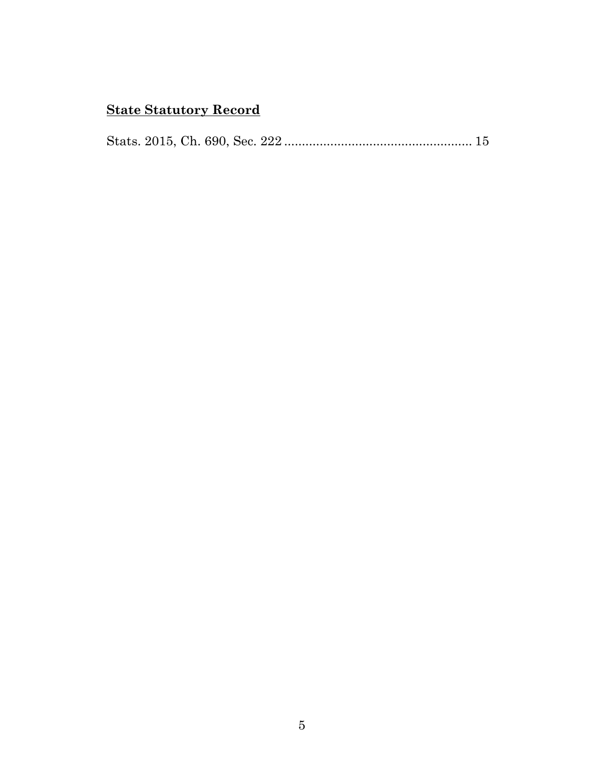# **State Statutory Record**

Stats. 2015, Ch. 690, Sec. 222 ..................................................... 15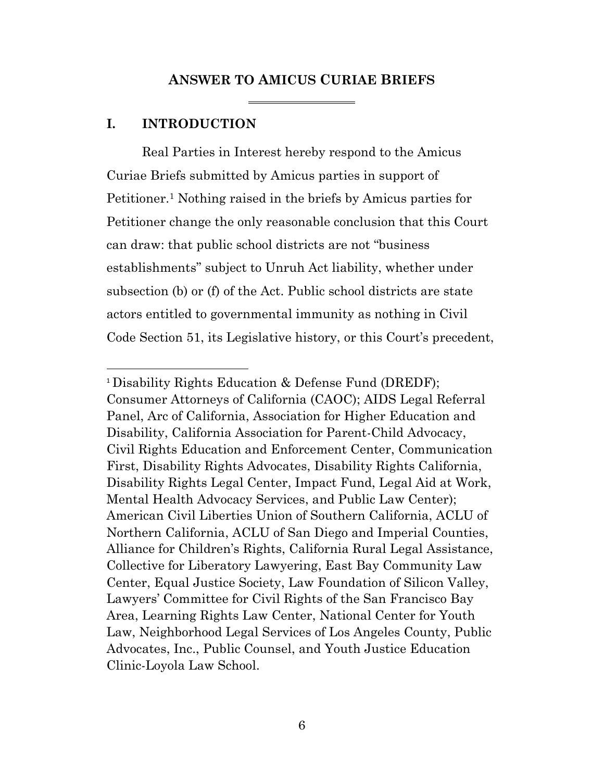#### **ANSWER TO AMICUS CURIAE BRIEFS**

#### **I. INTRODUCTION**

Real Parties in Interest hereby respond to the Amicus Curiae Briefs submitted by Amicus parties in support of Petitioner.<sup>1</sup> Nothing raised in the briefs by Amicus parties for Petitioner change the only reasonable conclusion that this Court can draw: that public school districts are not "business establishments" subject to Unruh Act liability, whether under subsection (b) or (f) of the Act. Public school districts are state actors entitled to governmental immunity as nothing in Civil Code Section 51, its Legislative history, or this Court's precedent,

<sup>1</sup> Disability Rights Education & Defense Fund (DREDF); Consumer Attorneys of California (CAOC); AIDS Legal Referral Panel, Arc of California, Association for Higher Education and Disability, California Association for Parent-Child Advocacy, Civil Rights Education and Enforcement Center, Communication First, Disability Rights Advocates, Disability Rights California, Disability Rights Legal Center, Impact Fund, Legal Aid at Work, Mental Health Advocacy Services, and Public Law Center); American Civil Liberties Union of Southern California, ACLU of Northern California, ACLU of San Diego and Imperial Counties, Alliance for Children's Rights, California Rural Legal Assistance, Collective for Liberatory Lawyering, East Bay Community Law Center, Equal Justice Society, Law Foundation of Silicon Valley, Lawyers' Committee for Civil Rights of the San Francisco Bay Area, Learning Rights Law Center, National Center for Youth Law, Neighborhood Legal Services of Los Angeles County, Public Advocates, Inc., Public Counsel, and Youth Justice Education Clinic-Loyola Law School.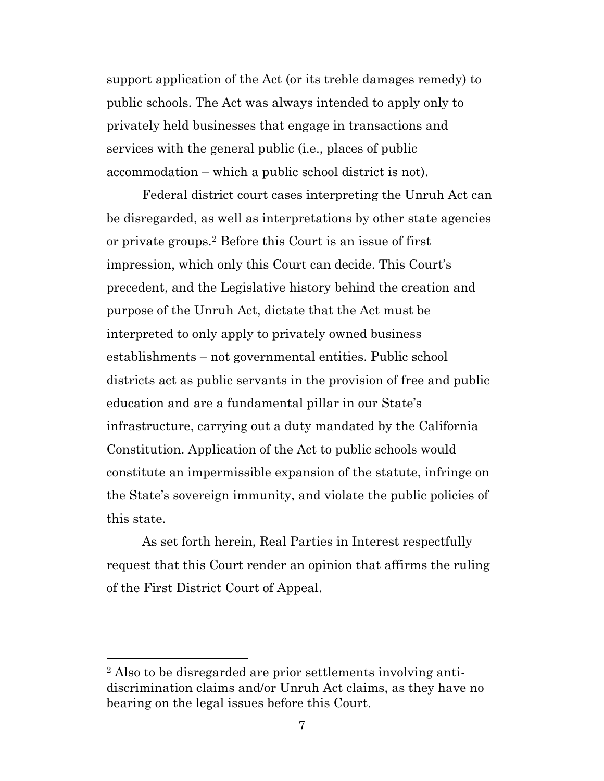support application of the Act (or its treble damages remedy) to public schools. The Act was always intended to apply only to privately held businesses that engage in transactions and services with the general public (i.e., places of public accommodation – which a public school district is not).

Federal district court cases interpreting the Unruh Act can be disregarded, as well as interpretations by other state agencies or private groups.<sup>2</sup> Before this Court is an issue of first impression, which only this Court can decide. This Court's precedent, and the Legislative history behind the creation and purpose of the Unruh Act, dictate that the Act must be interpreted to only apply to privately owned business establishments – not governmental entities. Public school districts act as public servants in the provision of free and public education and are a fundamental pillar in our State's infrastructure, carrying out a duty mandated by the California Constitution. Application of the Act to public schools would constitute an impermissible expansion of the statute, infringe on the State's sovereign immunity, and violate the public policies of this state.

As set forth herein, Real Parties in Interest respectfully request that this Court render an opinion that affirms the ruling of the First District Court of Appeal.

<sup>2</sup> Also to be disregarded are prior settlements involving antidiscrimination claims and/or Unruh Act claims, as they have no bearing on the legal issues before this Court.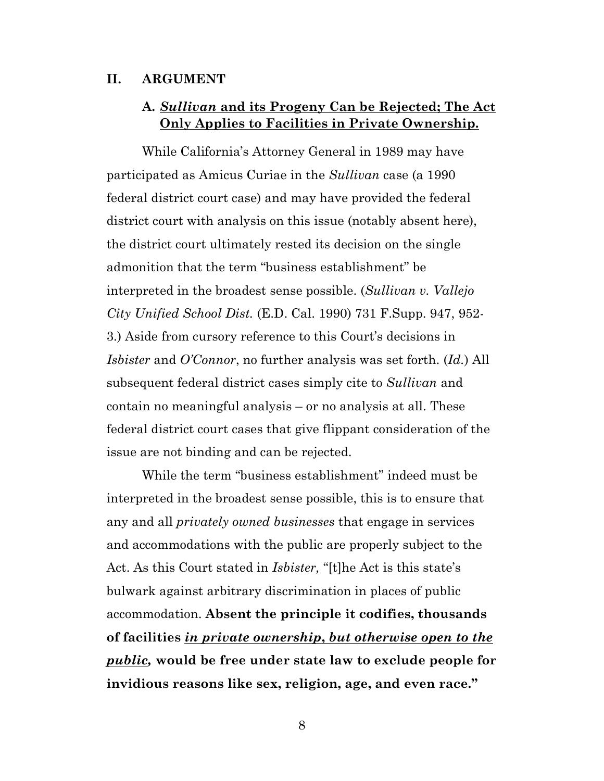#### **II. ARGUMENT**

### **A.** *Sullivan* **and its Progeny Can be Rejected; The Act Only Applies to Facilities in Private Ownership.**

While California's Attorney General in 1989 may have participated as Amicus Curiae in the *Sullivan* case (a 1990 federal district court case) and may have provided the federal district court with analysis on this issue (notably absent here), the district court ultimately rested its decision on the single admonition that the term "business establishment" be interpreted in the broadest sense possible. (*Sullivan v. Vallejo City Unified School Dist.* (E.D. Cal. 1990) 731 F.Supp. 947, 952- 3.) Aside from cursory reference to this Court's decisions in *Isbister* and *O'Connor*, no further analysis was set forth. (*Id.*) All subsequent federal district cases simply cite to *Sullivan* and contain no meaningful analysis – or no analysis at all. These federal district court cases that give flippant consideration of the issue are not binding and can be rejected.

While the term "business establishment" indeed must be interpreted in the broadest sense possible, this is to ensure that any and all *privately owned businesses* that engage in services and accommodations with the public are properly subject to the Act. As this Court stated in *Isbister,* "[t]he Act is this state's bulwark against arbitrary discrimination in places of public accommodation. **Absent the principle it codifies, thousands of facilities** *in private ownership***,** *but otherwise open to the public,* **would be free under state law to exclude people for invidious reasons like sex, religion, age, and even race."**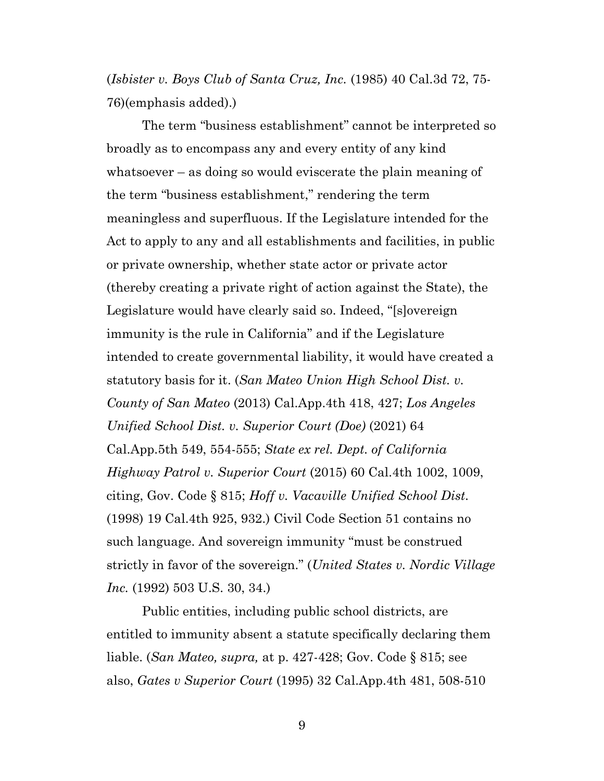(*Isbister v. Boys Club of Santa Cruz, Inc.* (1985) 40 Cal.3d 72, 75- 76)(emphasis added).)

The term "business establishment" cannot be interpreted so broadly as to encompass any and every entity of any kind whatsoever – as doing so would eviscerate the plain meaning of the term "business establishment," rendering the term meaningless and superfluous. If the Legislature intended for the Act to apply to any and all establishments and facilities, in public or private ownership, whether state actor or private actor (thereby creating a private right of action against the State), the Legislature would have clearly said so. Indeed, "[s]overeign immunity is the rule in California" and if the Legislature intended to create governmental liability, it would have created a statutory basis for it. (*San Mateo Union High School Dist. v. County of San Mateo* (2013) Cal.App.4th 418, 427; *Los Angeles Unified School Dist. v. Superior Court (Doe)* (2021) 64 Cal.App.5th 549, 554-555; *State ex rel. Dept. of California Highway Patrol v. Superior Court* (2015) 60 Cal.4th 1002, 1009, citing, Gov. Code § 815; *Hoff v. Vacaville Unified School Dist.* (1998) 19 Cal.4th 925, 932.) Civil Code Section 51 contains no such language. And sovereign immunity "must be construed strictly in favor of the sovereign." (*United States v. Nordic Village Inc.* (1992) 503 U.S. 30, 34.)

Public entities, including public school districts, are entitled to immunity absent a statute specifically declaring them liable. (*San Mateo, supra,* at p. 427-428; Gov. Code § 815; see also, *Gates v Superior Court* (1995) 32 Cal.App.4th 481, 508-510

9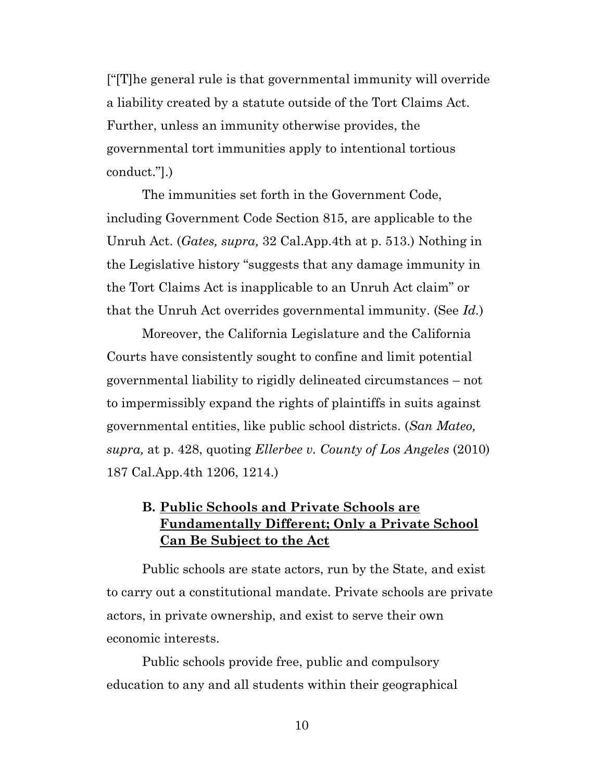["[T]he general rule is that governmental immunity will override a liability created by a statute outside of the Tort Claims Act. Further, unless an immunity otherwise provides, the governmental tort immunities apply to intentional tortious conduct."].)

The immunities set forth in the Government Code, including Government Code Section 815, are applicable to the Unruh Act. (*Gates, supra,* 32 Cal.App.4th at p. 513.) Nothing in the Legislative history "suggests that any damage immunity in the Tort Claims Act is inapplicable to an Unruh Act claim" or that the Unruh Act overrides governmental immunity. (See *Id.*)

Moreover, the California Legislature and the California Courts have consistently sought to confine and limit potential governmental liability to rigidly delineated circumstances – not to impermissibly expand the rights of plaintiffs in suits against governmental entities, like public school districts. (*San Mateo, supra,* at p. 428, quoting *Ellerbee v. County of Los Angeles* (2010) 187 Cal.App.4th 1206, 1214.)

# **B. Public Schools and Private Schools are Fundamentally Different; Only a Private School Can Be Subject to the Act**

Public schools are state actors, run by the State, and exist to carry out a constitutional mandate. Private schools are private actors, in private ownership, and exist to serve their own economic interests.

Public schools provide free, public and compulsory education to any and all students within their geographical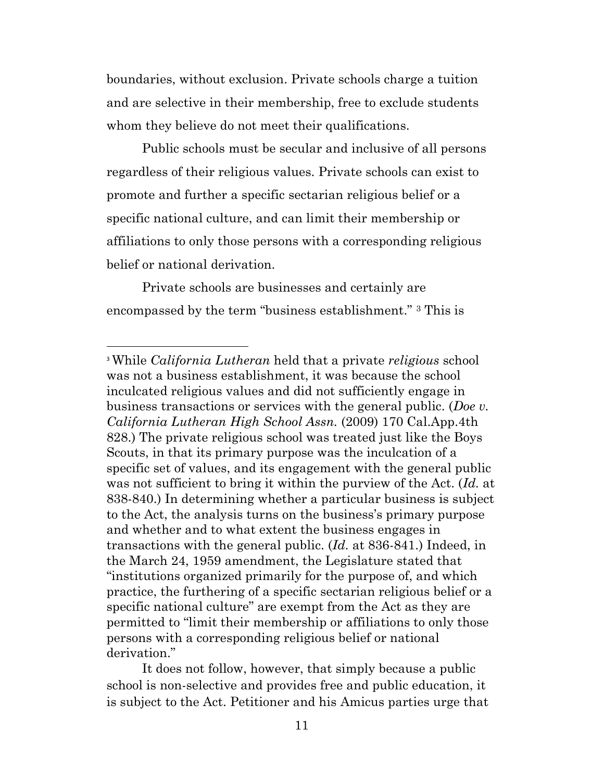boundaries, without exclusion. Private schools charge a tuition and are selective in their membership, free to exclude students whom they believe do not meet their qualifications.

Public schools must be secular and inclusive of all persons regardless of their religious values. Private schools can exist to promote and further a specific sectarian religious belief or a specific national culture, and can limit their membership or affiliations to only those persons with a corresponding religious belief or national derivation.

Private schools are businesses and certainly are encompassed by the term "business establishment." <sup>3</sup> This is

It does not follow, however, that simply because a public school is non-selective and provides free and public education, it is subject to the Act. Petitioner and his Amicus parties urge that

<sup>3</sup> While *California Lutheran* held that a private *religious* school was not a business establishment, it was because the school inculcated religious values and did not sufficiently engage in business transactions or services with the general public. (*Doe v. California Lutheran High School Assn.* (2009) 170 Cal.App.4th 828.) The private religious school was treated just like the Boys Scouts, in that its primary purpose was the inculcation of a specific set of values, and its engagement with the general public was not sufficient to bring it within the purview of the Act. (*Id.* at 838-840.) In determining whether a particular business is subject to the Act, the analysis turns on the business's primary purpose and whether and to what extent the business engages in transactions with the general public. (*Id.* at 836-841.) Indeed, in the March 24, 1959 amendment, the Legislature stated that "institutions organized primarily for the purpose of, and which practice, the furthering of a specific sectarian religious belief or a specific national culture" are exempt from the Act as they are permitted to "limit their membership or affiliations to only those persons with a corresponding religious belief or national derivation."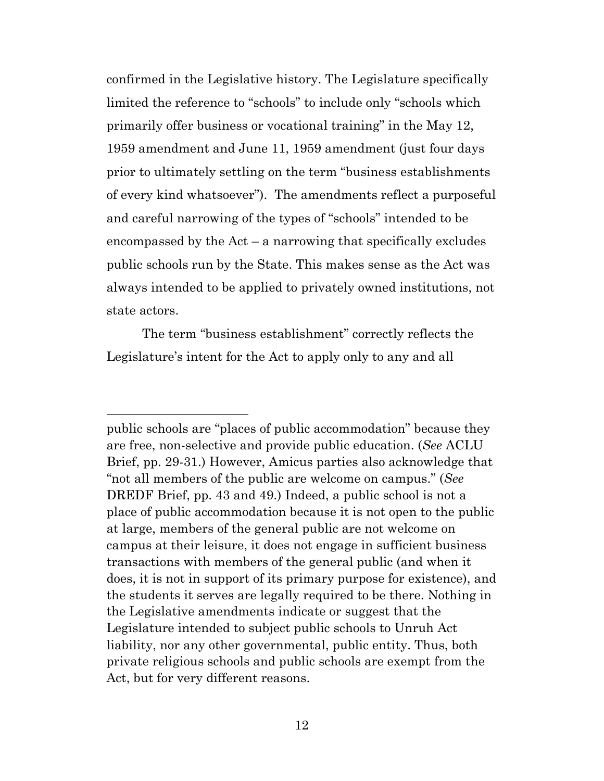confirmed in the Legislative history. The Legislature specifically limited the reference to "schools" to include only "schools which primarily offer business or vocational training" in the May 12, 1959 amendment and June 11, 1959 amendment (just four days prior to ultimately settling on the term "business establishments of every kind whatsoever"). The amendments reflect a purposeful and careful narrowing of the types of "schools" intended to be encompassed by the  $Act - a$  narrowing that specifically excludes public schools run by the State. This makes sense as the Act was always intended to be applied to privately owned institutions, not state actors.

The term "business establishment" correctly reflects the Legislature's intent for the Act to apply only to any and all

public schools are "places of public accommodation" because they are free, non-selective and provide public education. (*See* ACLU Brief, pp. 29-31.) However, Amicus parties also acknowledge that "not all members of the public are welcome on campus." (*See*  DREDF Brief, pp. 43 and 49.) Indeed, a public school is not a place of public accommodation because it is not open to the public at large, members of the general public are not welcome on campus at their leisure, it does not engage in sufficient business transactions with members of the general public (and when it does, it is not in support of its primary purpose for existence), and the students it serves are legally required to be there. Nothing in the Legislative amendments indicate or suggest that the Legislature intended to subject public schools to Unruh Act liability, nor any other governmental, public entity. Thus, both private religious schools and public schools are exempt from the Act, but for very different reasons.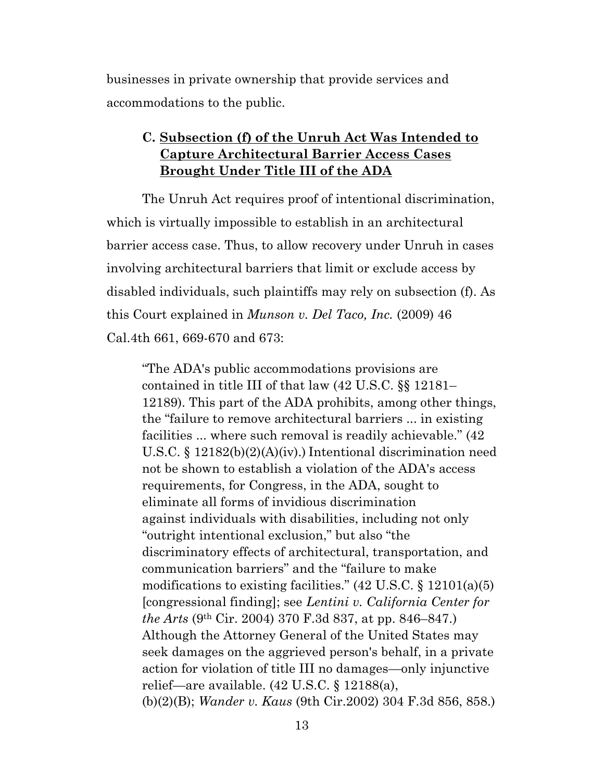businesses in private ownership that provide services and accommodations to the public.

# **C. Subsection (f) of the Unruh Act Was Intended to Capture Architectural Barrier Access Cases Brought Under Title III of the ADA**

The Unruh Act requires proof of intentional discrimination, which is virtually impossible to establish in an architectural barrier access case. Thus, to allow recovery under Unruh in cases involving architectural barriers that limit or exclude access by disabled individuals, such plaintiffs may rely on subsection (f). As this Court explained in *Munson v. Del Taco, Inc.* (2009) 46 Cal.4th 661, 669-670 and 673:

"The ADA's public accommodations provisions are contained in title III of that law (42 U.S.C. §§ 12181– 12189). This part of the ADA prohibits, among other things, the "failure to remove architectural barriers ... in existing facilities ... where such removal is readily achievable." (42 U.S.C. § 12182(b)(2)(A)(iv).) Intentional discrimination need not be shown to establish a violation of the ADA's access requirements, for Congress, in the ADA, sought to eliminate all forms of invidious discrimination against individuals with disabilities, including not only "outright intentional exclusion," but also "the discriminatory effects of architectural, transportation, and communication barriers" and the "failure to make modifications to existing facilities."  $(42 \text{ U.S.C.} \S 12101(a)(5))$ [congressional finding]; see *Lentini v. California Center for the Arts* (9th Cir. 2004) 370 F.3d 837, at pp. 846–847.) Although the Attorney General of the United States may seek damages on the aggrieved person's behalf, in a private action for violation of title III no damages—only injunctive relief—are available. (42 U.S.C. § 12188(a), (b)(2)(B); *Wander v. Kaus* (9th Cir.2002) 304 F.3d 856, 858.)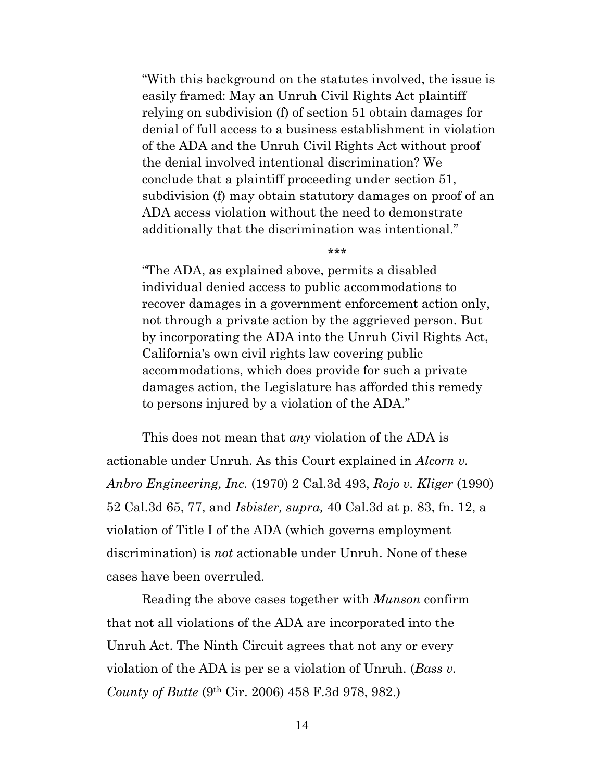"With this background on the statutes involved, the issue is easily framed: May an Unruh Civil Rights Act plaintiff relying on subdivision (f) of section 51 obtain damages for denial of full access to a business establishment in violation of the ADA and the Unruh Civil Rights Act without proof the denial involved intentional discrimination? We conclude that a plaintiff proceeding under section 51, subdivision (f) may obtain statutory damages on proof of an ADA access violation without the need to demonstrate additionally that the discrimination was intentional."

\*\*\*

"The ADA, as explained above, permits a disabled individual denied access to public accommodations to recover damages in a government enforcement action only, not through a private action by the aggrieved person. But by incorporating the ADA into the Unruh Civil Rights Act, California's own civil rights law covering public accommodations, which does provide for such a private damages action, the Legislature has afforded this remedy to persons injured by a violation of the ADA."

This does not mean that *any* violation of the ADA is actionable under Unruh. As this Court explained in *Alcorn v. Anbro Engineering, Inc.* (1970) 2 Cal.3d 493, *Rojo v. Kliger* (1990) 52 Cal.3d 65, 77, and *Isbister, supra,* 40 Cal.3d at p. 83, fn. 12, a violation of Title I of the ADA (which governs employment discrimination) is *not* actionable under Unruh. None of these cases have been overruled.

Reading the above cases together with *Munson* confirm that not all violations of the ADA are incorporated into the Unruh Act. The Ninth Circuit agrees that not any or every violation of the ADA is per se a violation of Unruh. (*Bass v. County of Butte* (9th Cir. 2006) 458 F.3d 978, 982.)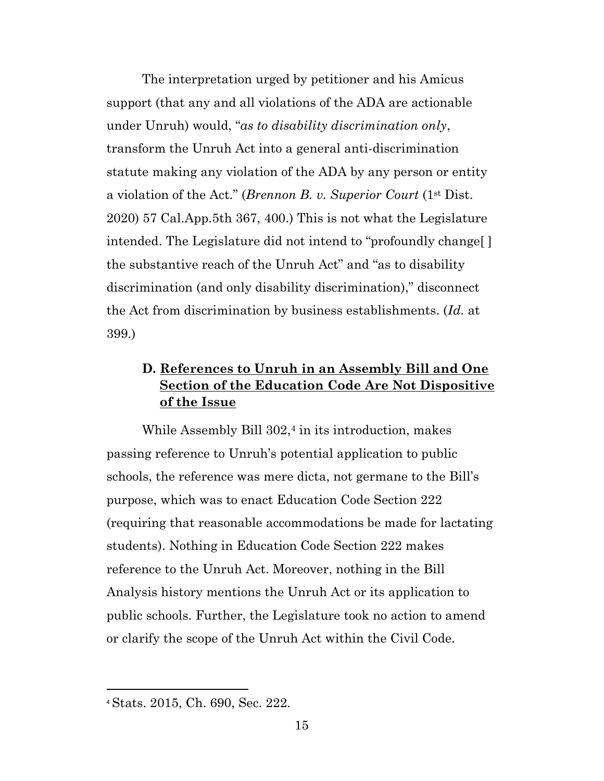The interpretation urged by petitioner and his Amicus support (that any and all violations of the ADA are actionable under Unruh) would, "*as to disability discrimination only*, transform the Unruh Act into a general anti-discrimination statute making any violation of the ADA by any person or entity a violation of the Act." (*Brennon B. v. Superior Court* (1st Dist. 2020) 57 Cal.App.5th 367, 400.) This is not what the Legislature intended. The Legislature did not intend to "profoundly change[ ] the substantive reach of the Unruh Act" and "as to disability discrimination (and only disability discrimination)," disconnect the Act from discrimination by business establishments. (*Id.* at 399.)

# **D. References to Unruh in an Assembly Bill and One Section of the Education Code Are Not Dispositive of the Issue**

While Assembly Bill  $302<sup>4</sup>$  in its introduction, makes passing reference to Unruh's potential application to public schools, the reference was mere dicta, not germane to the Bill's purpose, which was to enact Education Code Section 222 (requiring that reasonable accommodations be made for lactating students). Nothing in Education Code Section 222 makes reference to the Unruh Act. Moreover, nothing in the Bill Analysis history mentions the Unruh Act or its application to public schools. Further, the Legislature took no action to amend or clarify the scope of the Unruh Act within the Civil Code.

<sup>4</sup> Stats. 2015, Ch. 690, Sec. 222.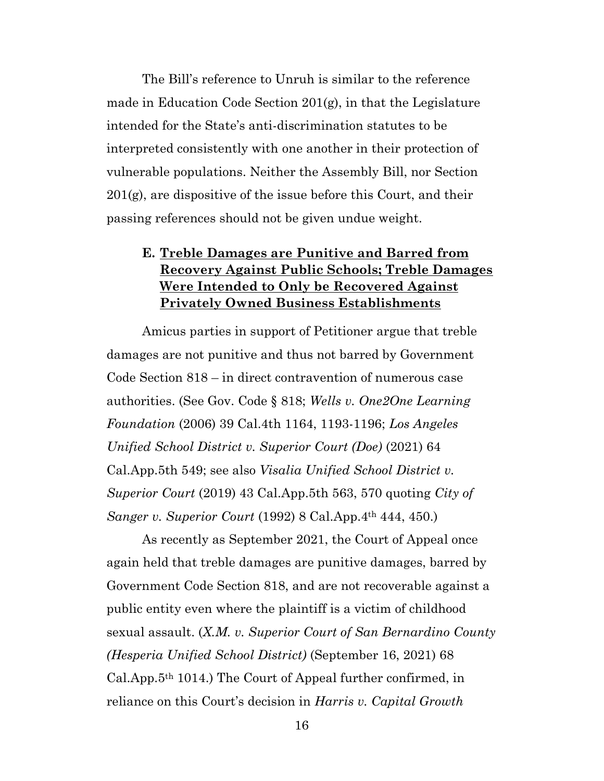The Bill's reference to Unruh is similar to the reference made in Education Code Section 201(g), in that the Legislature intended for the State's anti-discrimination statutes to be interpreted consistently with one another in their protection of vulnerable populations. Neither the Assembly Bill, nor Section  $201(g)$ , are dispositive of the issue before this Court, and their passing references should not be given undue weight.

# **E. Treble Damages are Punitive and Barred from Recovery Against Public Schools; Treble Damages Were Intended to Only be Recovered Against Privately Owned Business Establishments**

Amicus parties in support of Petitioner argue that treble damages are not punitive and thus not barred by Government Code Section 818 – in direct contravention of numerous case authorities. (See Gov. Code § 818; *Wells v. One2One Learning Foundation* (2006) 39 Cal.4th 1164, 1193-1196; *Los Angeles Unified School District v. Superior Court (Doe)* (2021) 64 Cal.App.5th 549; see also *Visalia Unified School District v. Superior Court* (2019) 43 Cal.App.5th 563, 570 quoting *City of Sanger v. Superior Court* (1992) 8 Cal.App.4th 444, 450.)

As recently as September 2021, the Court of Appeal once again held that treble damages are punitive damages, barred by Government Code Section 818, and are not recoverable against a public entity even where the plaintiff is a victim of childhood sexual assault. (*X.M. v. Superior Court of San Bernardino County (Hesperia Unified School District)* (September 16, 2021) 68 Cal.App.5th 1014.) The Court of Appeal further confirmed, in reliance on this Court's decision in *Harris v. Capital Growth*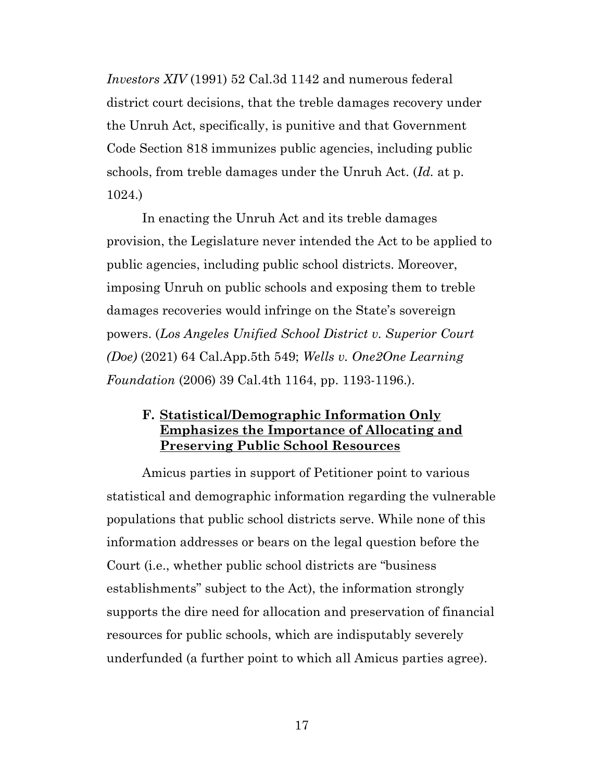*Investors XIV* (1991) 52 Cal.3d 1142 and numerous federal district court decisions, that the treble damages recovery under the Unruh Act, specifically, is punitive and that Government Code Section 818 immunizes public agencies, including public schools, from treble damages under the Unruh Act. (*Id.* at p. 1024.)

In enacting the Unruh Act and its treble damages provision, the Legislature never intended the Act to be applied to public agencies, including public school districts. Moreover, imposing Unruh on public schools and exposing them to treble damages recoveries would infringe on the State's sovereign powers. (*Los Angeles Unified School District v. Superior Court (Doe)* (2021) 64 Cal.App.5th 549; *Wells v. One2One Learning Foundation* (2006) 39 Cal.4th 1164, pp. 1193-1196.).

#### **F. Statistical/Demographic Information Only Emphasizes the Importance of Allocating and Preserving Public School Resources**

Amicus parties in support of Petitioner point to various statistical and demographic information regarding the vulnerable populations that public school districts serve. While none of this information addresses or bears on the legal question before the Court (i.e., whether public school districts are "business establishments" subject to the Act), the information strongly supports the dire need for allocation and preservation of financial resources for public schools, which are indisputably severely underfunded (a further point to which all Amicus parties agree).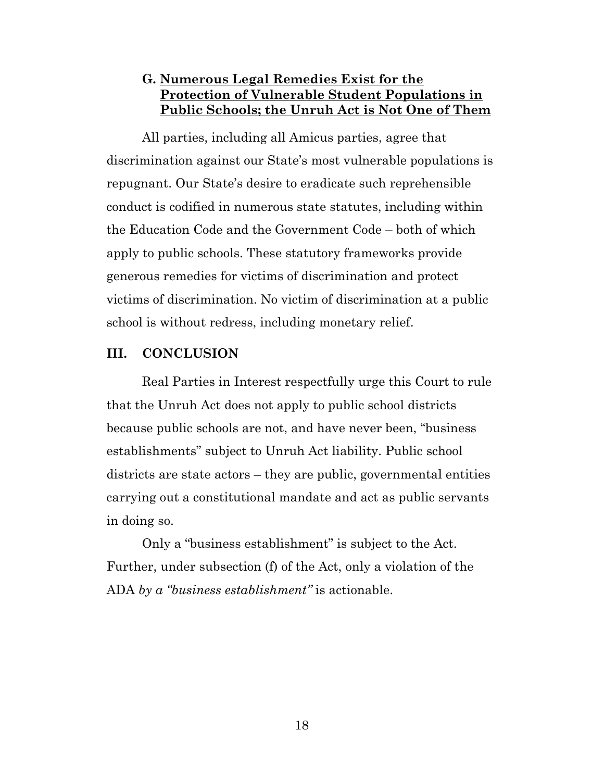### **G. Numerous Legal Remedies Exist for the Protection of Vulnerable Student Populations in Public Schools; the Unruh Act is Not One of Them**

All parties, including all Amicus parties, agree that discrimination against our State's most vulnerable populations is repugnant. Our State's desire to eradicate such reprehensible conduct is codified in numerous state statutes, including within the Education Code and the Government Code – both of which apply to public schools. These statutory frameworks provide generous remedies for victims of discrimination and protect victims of discrimination. No victim of discrimination at a public school is without redress, including monetary relief.

#### **III. CONCLUSION**

Real Parties in Interest respectfully urge this Court to rule that the Unruh Act does not apply to public school districts because public schools are not, and have never been, "business establishments" subject to Unruh Act liability. Public school districts are state actors – they are public, governmental entities carrying out a constitutional mandate and act as public servants in doing so.

Only a "business establishment" is subject to the Act. Further, under subsection (f) of the Act, only a violation of the ADA *by a "business establishment"* is actionable.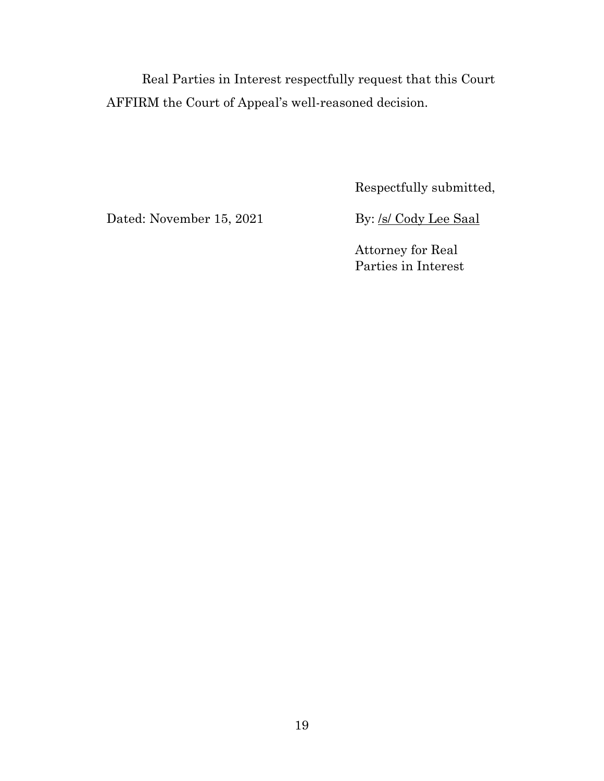Real Parties in Interest respectfully request that this Court AFFIRM the Court of Appeal's well-reasoned decision.

Respectfully submitted,

Dated: November 15, 2021 By: /s/ Cody Lee Saal

Attorney for Real Parties in Interest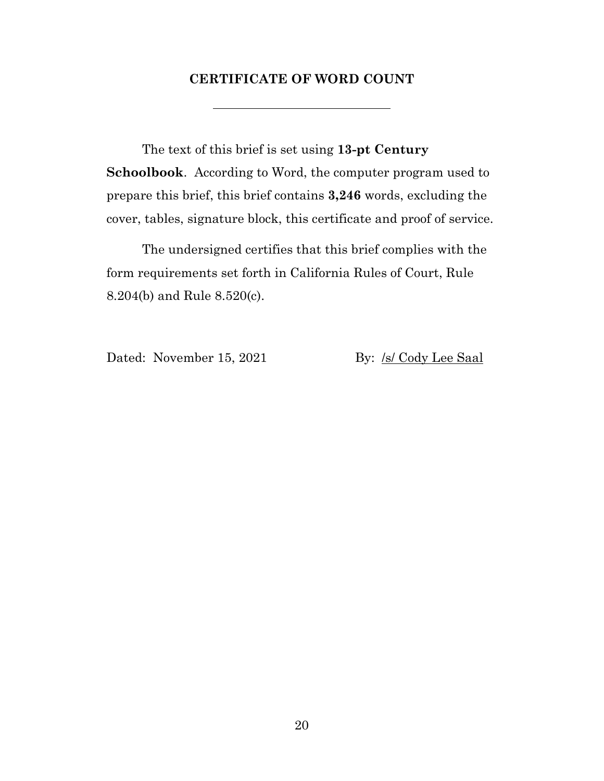#### **CERTIFICATE OF WORD COUNT**

The text of this brief is set using **13-pt Century Schoolbook**. According to Word, the computer program used to prepare this brief, this brief contains **3,246** words, excluding the cover, tables, signature block, this certificate and proof of service.

The undersigned certifies that this brief complies with the form requirements set forth in California Rules of Court, Rule 8.204(b) and Rule 8.520(c).

Dated: November 15, 2021 By: /s/ Cody Lee Saal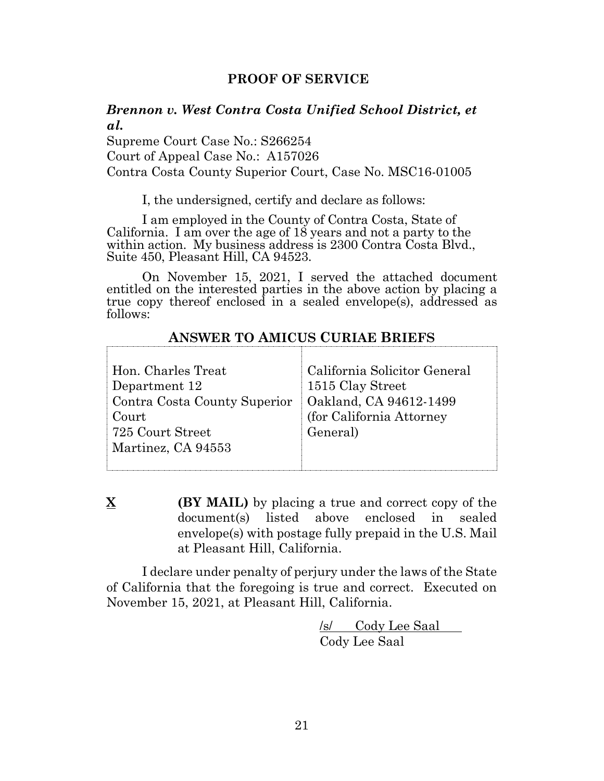#### **PROOF OF SERVICE**

#### *Brennon v. West Contra Costa Unified School District, et al.*

Supreme Court Case No.: S266254 Court of Appeal Case No.: A157026 Contra Costa County Superior Court, Case No. MSC16-01005

I, the undersigned, certify and declare as follows:

I am employed in the County of Contra Costa, State of California. I am over the age of 18 years and not a party to the within action. My business address is 2300 Contra Costa Blvd., Suite 450, Pleasant Hill, CA 94523.

On November 15, 2021, I served the attached document entitled on the interested parties in the above action by placing a true copy thereof enclosed in a sealed envelope(s), addressed as follows:

#### **ANSWER TO AMICUS CURIAE BRIEFS**

**X (BY MAIL)** by placing a true and correct copy of the document(s) listed above enclosed in sealed envelope(s) with postage fully prepaid in the U.S. Mail at Pleasant Hill, California.

I declare under penalty of perjury under the laws of the State of California that the foregoing is true and correct. Executed on November 15, 2021, at Pleasant Hill, California.

> /s/ Cody Lee Saal Cody Lee Saal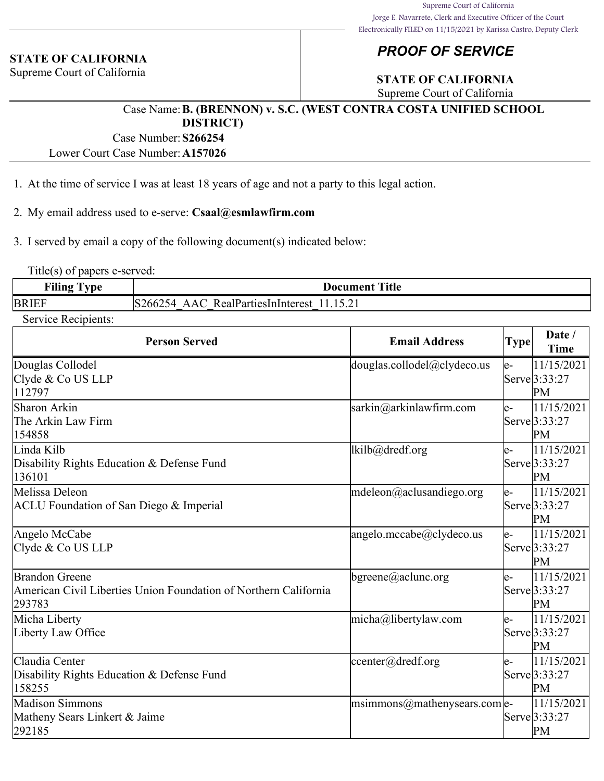#### **STATE OF CALIFORNIA**

Supreme Court of California

# *PROOF OF SERVICE*

# **STATE OF CALIFORNIA**

Supreme Court of California

#### Case Name:**B. (BRENNON) v. S.C. (WEST CONTRA COSTA UNIFIED SCHOOL DISTRICT)**

Case Number:**S266254**

Lower Court Case Number:**A157026**

- 1. At the time of service I was at least 18 years of age and not a party to this legal action.
- 2. My email address used to e-serve: **Csaal@esmlawfirm.com**

3. I served by email a copy of the following document(s) indicated below:

Title(s) of papers e-served:

| $\blacksquare$<br>Filin<br>$\mathbf{m}$<br>$\overline{\phantom{a}}$<br>$\mathbf{v}$ . | Title<br>Document                               |
|---------------------------------------------------------------------------------------|-------------------------------------------------|
| <b>BR</b>                                                                             | RealParties in<br>'nteres<br>'hh<br>$1 \cup .1$ |

Service Recipients:

| <b>Person Served</b>                                                                                | <b>Email Address</b>                 | <b>Type</b> | Date /<br><b>Time</b>               |
|-----------------------------------------------------------------------------------------------------|--------------------------------------|-------------|-------------------------------------|
| Douglas Collodel<br>Clyde & Co US LLP<br>112797                                                     | douglas.collodel@clydeco.us          | e-          | 11/15/2021<br>Serve 3:33:27<br>PM   |
| Sharon Arkin<br>The Arkin Law Firm<br>154858                                                        | sarkin@arkinlawfirm.com              | $e-$        | 11/15/2021<br>Serve 3:33:27<br>PM   |
| Linda Kilb<br>Disability Rights Education & Defense Fund<br>136101                                  | lkilb@dredf.org                      | $e-$        | 11/15/2021<br>Serve 3:33:27<br>PM   |
| Melissa Deleon<br><b>ACLU</b> Foundation of San Diego & Imperial                                    | mdeleon@aclusandiego.org             | $e-$        | 11/15/2021<br>Serve 3:33:27<br>PM   |
| Angelo McCabe<br>Clyde & Co US LLP                                                                  | angelo.mccabe@clydeco.us             | $e-$        | 11/15/2021<br>Serve 3:33:27<br>PM   |
| <b>Brandon Greene</b><br>American Civil Liberties Union Foundation of Northern California<br>293783 | $b$ greene@aclunc.org                | $e-$        | 11/15/2021<br>Serve 3:33:27<br>PM   |
| Micha Liberty<br>Liberty Law Office                                                                 | micha@libertylaw.com                 | e-          | 11/15/2021<br>Serve 3:33:27<br>PM   |
| Claudia Center<br>Disability Rights Education & Defense Fund<br>158255                              | center@dredf.org                     | $e-$        | 11/15/2021<br>Serve $3:33:27$<br>PM |
| Madison Simmons<br>Matheny Sears Linkert & Jaime<br>292185                                          | $ $ msimmons@mathenysears.com $ $ e- |             | 11/15/2021<br>Serve 3:33:27<br>PM   |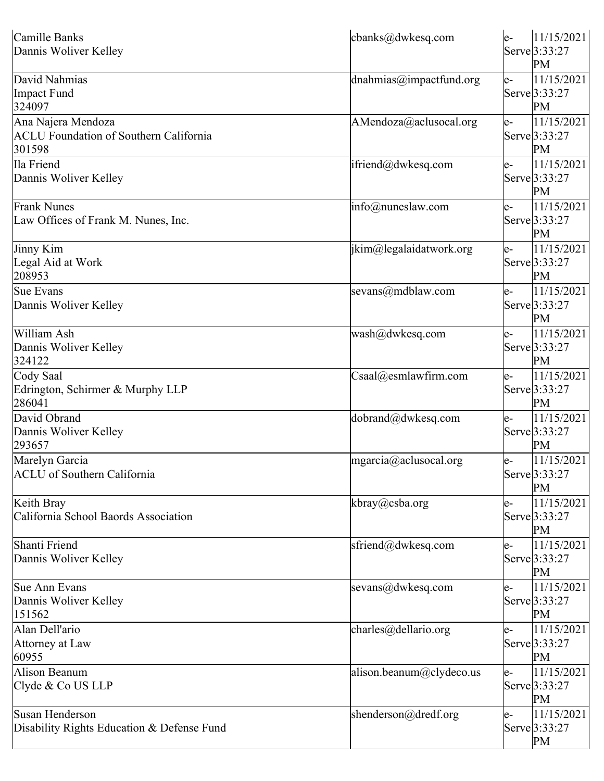| Camille Banks<br>Dannis Woliver Kelley                                        | cbanks@dwkesq.com           | le- | 11/15/2021<br>Serve 3:33:27<br>PM          |
|-------------------------------------------------------------------------------|-----------------------------|-----|--------------------------------------------|
| David Nahmias<br>Impact Fund<br>324097                                        | dnahmias@impactfund.org     | le- | 11/15/2021<br>Serve 3:33:27<br>PM          |
| Ana Najera Mendoza<br><b>ACLU Foundation of Southern California</b><br>301598 | AMendoza@aclusocal.org      | e-  | 11/15/2021<br>Serve 3:33:27<br>PM          |
| Ila Friend<br>Dannis Woliver Kelley                                           | ifriend@dwkesq.com          | le- | 11/15/2021<br>Serve 3:33:27<br>PM          |
| <b>Frank Nunes</b><br>Law Offices of Frank M. Nunes, Inc.                     | $info(\omega)$ nuneslaw.com | e-  | 11/15/2021<br>Serve 3:33:27<br>PM          |
| Jinny Kim<br>Legal Aid at Work<br>208953                                      | jkim@legalaidatwork.org     | e-  | 11/15/2021<br>Serve 3:33:27<br>PM          |
| Sue Evans<br>Dannis Woliver Kelley                                            | sevans@mdblaw.com           | e-  | 11/15/2021<br>Serve 3:33:27<br>PM          |
| William Ash<br>Dannis Woliver Kelley<br>324122                                | wash@dwkesq.com             | e-  | 11/15/2021<br>Serve 3:33:27<br>PM          |
| Cody Saal<br>Edrington, Schirmer & Murphy LLP<br>286041                       | Csaal@esmlawfirm.com        | le- | $\sqrt{11/15/2021}$<br>Serve 3:33:27<br>PM |
| David Obrand<br>Dannis Woliver Kelley<br>293657                               | dobrand@dwkesq.com          | e-  | 11/15/2021<br>Serve 3:33:27<br>PM          |
| Marelyn Garcia<br><b>ACLU</b> of Southern California                          | mgarcia@aclusocal.org       | le- | 11/15/2021<br>Serve 3:33:27<br>PM          |
| Keith Bray<br>California School Baords Association                            | kbray@csba.org              | e-  | 11/15/2021<br>Serve 3:33:27<br>PM          |
| Shanti Friend<br>Dannis Woliver Kelley                                        | sfriend@dwkesq.com          | e-  | 11/15/2021<br>Serve 3:33:27<br>PM          |
| Sue Ann Evans<br>Dannis Woliver Kelley<br>151562                              | sevans@dwkesq.com           | e-  | 11/15/2021<br>Serve 3:33:27<br>PM          |
| Alan Dell'ario<br>Attorney at Law<br>60955                                    | charles@dellario.org        | e-  | 11/15/2021<br>Serve 3:33:27<br>PM          |
| Alison Beanum<br>Clyde & Co US LLP                                            | alison.beanum@clydeco.us    | le- | 11/15/2021<br>Serve 3:33:27<br>PM          |
| Susan Henderson<br>Disability Rights Education & Defense Fund                 | shenderson@dredf.org        | e-  | 11/15/2021<br>Serve 3:33:27<br>PM          |